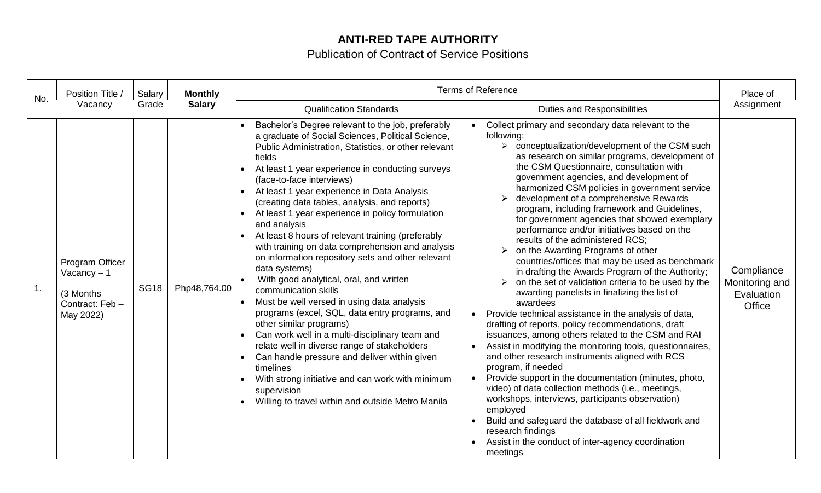## **ANTI-RED TAPE AUTHORITY**

## Publication of Contract of Service Positions

| No. | Position Title /<br>Vacancy                                                   | Salary<br>Grade | <b>Monthly</b><br><b>Salary</b> | <b>Terms of Reference</b>                                                                                                                                                                                                                                                                                                                                                                                                                                                                                                                                                                                                                                                                                                                                                                                                                                                                                                                                                                                                                                                                                                   |                                                                                                                                                                                                                                                                                                                                                                                                                                                                                                                                                                                                                                                                                                                                                                                                                                                                                                                                                                                                                                                                                                                                                                                                                                                                                                                                                                                                                                                                                                         | Place of                                                    |
|-----|-------------------------------------------------------------------------------|-----------------|---------------------------------|-----------------------------------------------------------------------------------------------------------------------------------------------------------------------------------------------------------------------------------------------------------------------------------------------------------------------------------------------------------------------------------------------------------------------------------------------------------------------------------------------------------------------------------------------------------------------------------------------------------------------------------------------------------------------------------------------------------------------------------------------------------------------------------------------------------------------------------------------------------------------------------------------------------------------------------------------------------------------------------------------------------------------------------------------------------------------------------------------------------------------------|---------------------------------------------------------------------------------------------------------------------------------------------------------------------------------------------------------------------------------------------------------------------------------------------------------------------------------------------------------------------------------------------------------------------------------------------------------------------------------------------------------------------------------------------------------------------------------------------------------------------------------------------------------------------------------------------------------------------------------------------------------------------------------------------------------------------------------------------------------------------------------------------------------------------------------------------------------------------------------------------------------------------------------------------------------------------------------------------------------------------------------------------------------------------------------------------------------------------------------------------------------------------------------------------------------------------------------------------------------------------------------------------------------------------------------------------------------------------------------------------------------|-------------------------------------------------------------|
|     |                                                                               |                 |                                 | <b>Qualification Standards</b>                                                                                                                                                                                                                                                                                                                                                                                                                                                                                                                                                                                                                                                                                                                                                                                                                                                                                                                                                                                                                                                                                              | <b>Duties and Responsibilities</b>                                                                                                                                                                                                                                                                                                                                                                                                                                                                                                                                                                                                                                                                                                                                                                                                                                                                                                                                                                                                                                                                                                                                                                                                                                                                                                                                                                                                                                                                      | Assignment                                                  |
| 1.  | Program Officer<br>Vacancy $-1$<br>(3 Months)<br>Contract: Feb -<br>May 2022) | <b>SG18</b>     | Php48,764.00                    | Bachelor's Degree relevant to the job, preferably<br>a graduate of Social Sciences, Political Science,<br>Public Administration, Statistics, or other relevant<br>fields<br>At least 1 year experience in conducting surveys<br>(face-to-face interviews)<br>At least 1 year experience in Data Analysis<br>(creating data tables, analysis, and reports)<br>At least 1 year experience in policy formulation<br>$\bullet$<br>and analysis<br>At least 8 hours of relevant training (preferably<br>with training on data comprehension and analysis<br>on information repository sets and other relevant<br>data systems)<br>With good analytical, oral, and written<br>communication skills<br>Must be well versed in using data analysis<br>programs (excel, SQL, data entry programs, and<br>other similar programs)<br>Can work well in a multi-disciplinary team and<br>relate well in diverse range of stakeholders<br>Can handle pressure and deliver within given<br>$\bullet$<br>timelines<br>With strong initiative and can work with minimum<br>supervision<br>Willing to travel within and outside Metro Manila | Collect primary and secondary data relevant to the<br>following:<br>$\triangleright$ conceptualization/development of the CSM such<br>as research on similar programs, development of<br>the CSM Questionnaire, consultation with<br>government agencies, and development of<br>harmonized CSM policies in government service<br>development of a comprehensive Rewards<br>➤<br>program, including framework and Guidelines,<br>for government agencies that showed exemplary<br>performance and/or initiatives based on the<br>results of the administered RCS;<br>on the Awarding Programs of other<br>$\blacktriangleright$<br>countries/offices that may be used as benchmark<br>in drafting the Awards Program of the Authority;<br>on the set of validation criteria to be used by the<br>➤<br>awarding panelists in finalizing the list of<br>awardees<br>Provide technical assistance in the analysis of data,<br>drafting of reports, policy recommendations, draft<br>issuances, among others related to the CSM and RAI<br>Assist in modifying the monitoring tools, questionnaires,<br>and other research instruments aligned with RCS<br>program, if needed<br>Provide support in the documentation (minutes, photo,<br>video) of data collection methods (i.e., meetings,<br>workshops, interviews, participants observation)<br>employed<br>Build and safeguard the database of all fieldwork and<br>research findings<br>Assist in the conduct of inter-agency coordination<br>meetings | Compliance<br>Monitoring and<br>Evaluation<br><b>Office</b> |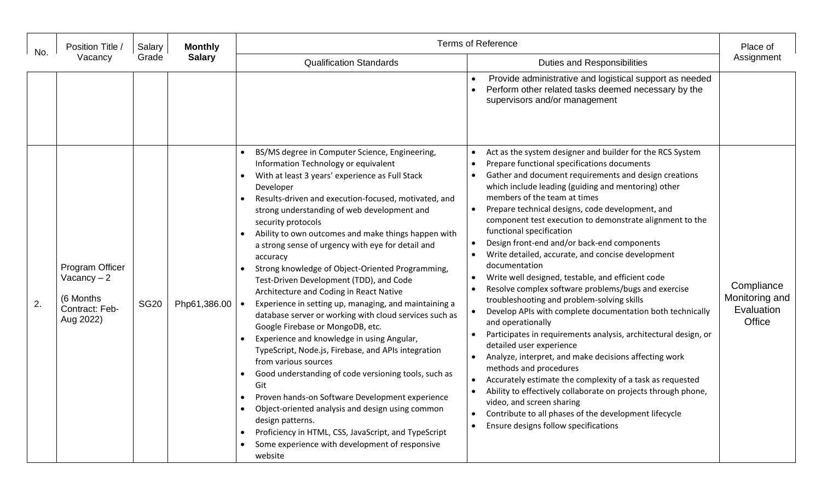| No. | Position Title /<br>Vacancy                                                 | Salary<br>Grade | <b>Monthly</b><br><b>Salary</b> | <b>Terms of Reference</b>                                                                                                                                                                                                                                                                                                                                                                                                                                                                                                                                                                                                                                                                                                                                                                                                                                                                                                                                                                                                                                                                                                                                |                                                                                                                                                                                                                                                                                                                                                                                                                                                                                                                                                                                                                                                                                                                                                                                                                                                                                                                                                                                                                                                                                                                                                                                                                                                            | Place of                                             |
|-----|-----------------------------------------------------------------------------|-----------------|---------------------------------|----------------------------------------------------------------------------------------------------------------------------------------------------------------------------------------------------------------------------------------------------------------------------------------------------------------------------------------------------------------------------------------------------------------------------------------------------------------------------------------------------------------------------------------------------------------------------------------------------------------------------------------------------------------------------------------------------------------------------------------------------------------------------------------------------------------------------------------------------------------------------------------------------------------------------------------------------------------------------------------------------------------------------------------------------------------------------------------------------------------------------------------------------------|------------------------------------------------------------------------------------------------------------------------------------------------------------------------------------------------------------------------------------------------------------------------------------------------------------------------------------------------------------------------------------------------------------------------------------------------------------------------------------------------------------------------------------------------------------------------------------------------------------------------------------------------------------------------------------------------------------------------------------------------------------------------------------------------------------------------------------------------------------------------------------------------------------------------------------------------------------------------------------------------------------------------------------------------------------------------------------------------------------------------------------------------------------------------------------------------------------------------------------------------------------|------------------------------------------------------|
|     |                                                                             |                 |                                 | <b>Qualification Standards</b>                                                                                                                                                                                                                                                                                                                                                                                                                                                                                                                                                                                                                                                                                                                                                                                                                                                                                                                                                                                                                                                                                                                           | <b>Duties and Responsibilities</b>                                                                                                                                                                                                                                                                                                                                                                                                                                                                                                                                                                                                                                                                                                                                                                                                                                                                                                                                                                                                                                                                                                                                                                                                                         | Assignment                                           |
|     |                                                                             |                 |                                 |                                                                                                                                                                                                                                                                                                                                                                                                                                                                                                                                                                                                                                                                                                                                                                                                                                                                                                                                                                                                                                                                                                                                                          | Provide administrative and logistical support as needed<br>Perform other related tasks deemed necessary by the<br>supervisors and/or management                                                                                                                                                                                                                                                                                                                                                                                                                                                                                                                                                                                                                                                                                                                                                                                                                                                                                                                                                                                                                                                                                                            |                                                      |
| 2.  | Program Officer<br>Vacancy $-2$<br>(6 Months<br>Contract: Feb-<br>Aug 2022) | <b>SG20</b>     | Php61,386.00                    | BS/MS degree in Computer Science, Engineering,<br>Information Technology or equivalent<br>With at least 3 years' experience as Full Stack<br>Developer<br>Results-driven and execution-focused, motivated, and<br>strong understanding of web development and<br>security protocols<br>Ability to own outcomes and make things happen with<br>a strong sense of urgency with eye for detail and<br>accuracy<br>Strong knowledge of Object-Oriented Programming,<br>Test-Driven Development (TDD), and Code<br>Architecture and Coding in React Native<br>Experience in setting up, managing, and maintaining a<br>database server or working with cloud services such as<br>Google Firebase or MongoDB, etc.<br>Experience and knowledge in using Angular,<br>TypeScript, Node.js, Firebase, and APIs integration<br>from various sources<br>Good understanding of code versioning tools, such as<br>Git<br>Proven hands-on Software Development experience<br>Object-oriented analysis and design using common<br>design patterns.<br>Proficiency in HTML, CSS, JavaScript, and TypeScript<br>Some experience with development of responsive<br>website | Act as the system designer and builder for the RCS System<br>$\bullet$<br>Prepare functional specifications documents<br>$\bullet$<br>Gather and document requirements and design creations<br>which include leading (guiding and mentoring) other<br>members of the team at times<br>Prepare technical designs, code development, and<br>component test execution to demonstrate alignment to the<br>functional specification<br>Design front-end and/or back-end components<br>Write detailed, accurate, and concise development<br>documentation<br>Write well designed, testable, and efficient code<br>Resolve complex software problems/bugs and exercise<br>troubleshooting and problem-solving skills<br>Develop APIs with complete documentation both technically<br>and operationally<br>Participates in requirements analysis, architectural design, or<br>detailed user experience<br>Analyze, interpret, and make decisions affecting work<br>methods and procedures<br>Accurately estimate the complexity of a task as requested<br>Ability to effectively collaborate on projects through phone,<br>video, and screen sharing<br>Contribute to all phases of the development lifecycle<br>Ensure designs follow specifications<br>$\bullet$ | Compliance<br>Monitoring and<br>Evaluation<br>Office |